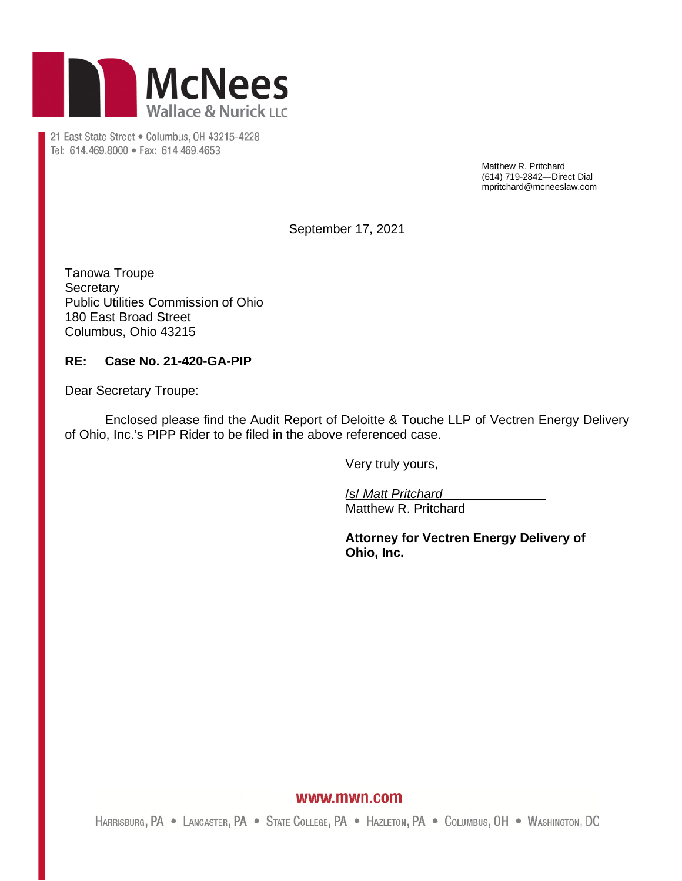

21 East State Street . Columbus, OH 43215-4228 Tel: 614.469.8000 · Fax: 614.469.4653

> Matthew R. Pritchard (614) 719-2842—Direct Dial mpritchard@mcneeslaw.com

September 17, 2021

Tanowa Troupe **Secretary** Public Utilities Commission of Ohio 180 East Broad Street Columbus, Ohio 43215

## **RE: Case No. 21-420-GA-PIP**

Dear Secretary Troupe:

Enclosed please find the Audit Report of Deloitte & Touche LLP of Vectren Energy Delivery of Ohio, Inc.'s PIPP Rider to be filed in the above referenced case.

Very truly yours,

/s/ *Matt Pritchard* Matthew R. Pritchard

**Attorney for Vectren Energy Delivery of Ohio, Inc.** 

## www.mwn.com

HARRISBURG, PA . LANCASTER, PA . STATE COLLEGE, PA . HAZLETON, PA . COLUMBUS, OH . WASHINGTON, DC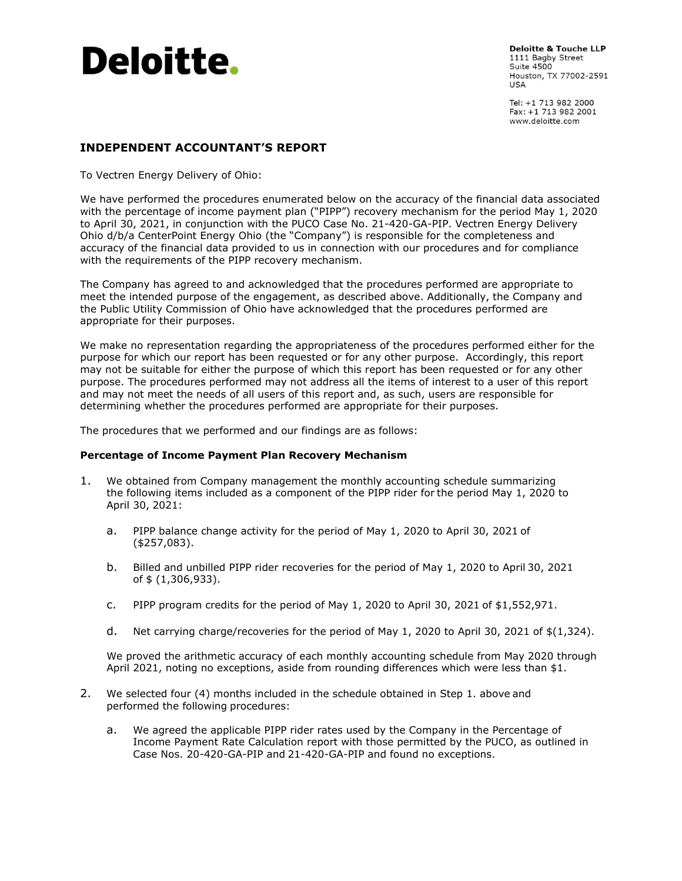

**Deloitte & Touche LLP** 1111 Bagby Street Suite 4500 Houston, TX 77002-2591 **USA** 

Tel: +1 713 982 2000 Fax: +1 713 982 2001 www.deloitte.com

## **INDEPENDENT ACCOUNTANT'S REPORT**

To Vectren Energy Delivery of Ohio:

We have performed the procedures enumerated below on the accuracy of the financial data associated with the percentage of income payment plan ("PIPP") recovery mechanism for the period May 1, 2020 to April 30, 2021, in conjunction with the PUCO Case No. 21-420-GA-PIP. Vectren Energy Delivery Ohio d/b/a CenterPoint Energy Ohio (the "Company") is responsible for the completeness and accuracy of the financial data provided to us in connection with our procedures and for compliance with the requirements of the PIPP recovery mechanism.

The Company has agreed to and acknowledged that the procedures performed are appropriate to meet the intended purpose of the engagement, as described above. Additionally, the Company and the Public Utility Commission of Ohio have acknowledged that the procedures performed are appropriate for their purposes.

We make no representation regarding the appropriateness of the procedures performed either for the purpose for which our report has been requested or for any other purpose. Accordingly, this report may not be suitable for either the purpose of which this report has been requested or for any other purpose. The procedures performed may not address all the items of interest to a user of this report and may not meet the needs of all users of this report and, as such, users are responsible for determining whether the procedures performed are appropriate for their purposes.

The procedures that we performed and our findings are as follows:

## **Percentage of Income Payment Plan Recovery Mechanism**

- 1. We obtained from Company management the monthly accounting schedule summarizing the following items included as a component of the PIPP rider for the period May 1, 2020 to April 30, 2021:
	- a. PIPP balance change activity for the period of May 1, 2020 to April 30, 2021 of (\$257,083).
	- b. Billed and unbilled PIPP rider recoveries for the period of May 1, 2020 to April 30, 2021 of \$ (1,306,933).
	- c. PIPP program credits for the period of May 1, 2020 to April 30, 2021 of \$1,552,971.
	- d. Net carrying charge/recoveries for the period of May 1, 2020 to April 30, 2021 of  $\$(1,324)$ .

We proved the arithmetic accuracy of each monthly accounting schedule from May 2020 through April 2021, noting no exceptions, aside from rounding differences which were less than \$1.

- 2. We selected four (4) months included in the schedule obtained in Step 1. above and performed the following procedures:
	- a. We agreed the applicable PIPP rider rates used by the Company in the Percentage of Income Payment Rate Calculation report with those permitted by the PUCO, as outlined in Case Nos. 20-420-GA-PIP and 21-420-GA-PIP and found no exceptions.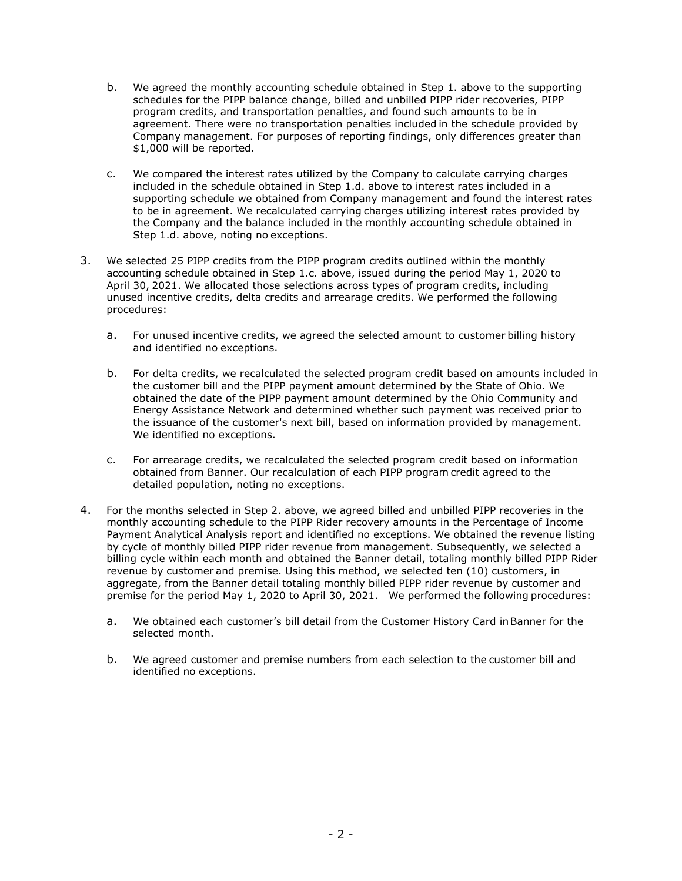- b. We agreed the monthly accounting schedule obtained in Step 1. above to the supporting schedules for the PIPP balance change, billed and unbilled PIPP rider recoveries, PIPP program credits, and transportation penalties, and found such amounts to be in agreement. There were no transportation penalties included in the schedule provided by Company management. For purposes of reporting findings, only differences greater than \$1,000 will be reported.
- c. We compared the interest rates utilized by the Company to calculate carrying charges included in the schedule obtained in Step 1.d. above to interest rates included in a supporting schedule we obtained from Company management and found the interest rates to be in agreement. We recalculated carrying charges utilizing interest rates provided by the Company and the balance included in the monthly accounting schedule obtained in Step 1.d. above, noting no exceptions.
- 3. We selected 25 PIPP credits from the PIPP program credits outlined within the monthly accounting schedule obtained in Step 1.c. above, issued during the period May 1, 2020 to April 30, 2021. We allocated those selections across types of program credits, including unused incentive credits, delta credits and arrearage credits. We performed the following procedures:
	- a. For unused incentive credits, we agreed the selected amount to customer billing history and identified no exceptions.
	- b. For delta credits, we recalculated the selected program credit based on amounts included in the customer bill and the PIPP payment amount determined by the State of Ohio. We obtained the date of the PIPP payment amount determined by the Ohio Community and Energy Assistance Network and determined whether such payment was received prior to the issuance of the customer's next bill, based on information provided by management. We identified no exceptions.
	- c. For arrearage credits, we recalculated the selected program credit based on information obtained from Banner. Our recalculation of each PIPP program credit agreed to the detailed population, noting no exceptions.
- 4. For the months selected in Step 2. above, we agreed billed and unbilled PIPP recoveries in the monthly accounting schedule to the PIPP Rider recovery amounts in the Percentage of Income Payment Analytical Analysis report and identified no exceptions. We obtained the revenue listing by cycle of monthly billed PIPP rider revenue from management. Subsequently, we selected a billing cycle within each month and obtained the Banner detail, totaling monthly billed PIPP Rider revenue by customer and premise. Using this method, we selected ten (10) customers, in aggregate, from the Banner detail totaling monthly billed PIPP rider revenue by customer and premise for the period May 1, 2020 to April 30, 2021. We performed the following procedures:
	- a. We obtained each customer's bill detail from the Customer History Card inBanner for the selected month.
	- b. We agreed customer and premise numbers from each selection to the customer bill and identified no exceptions.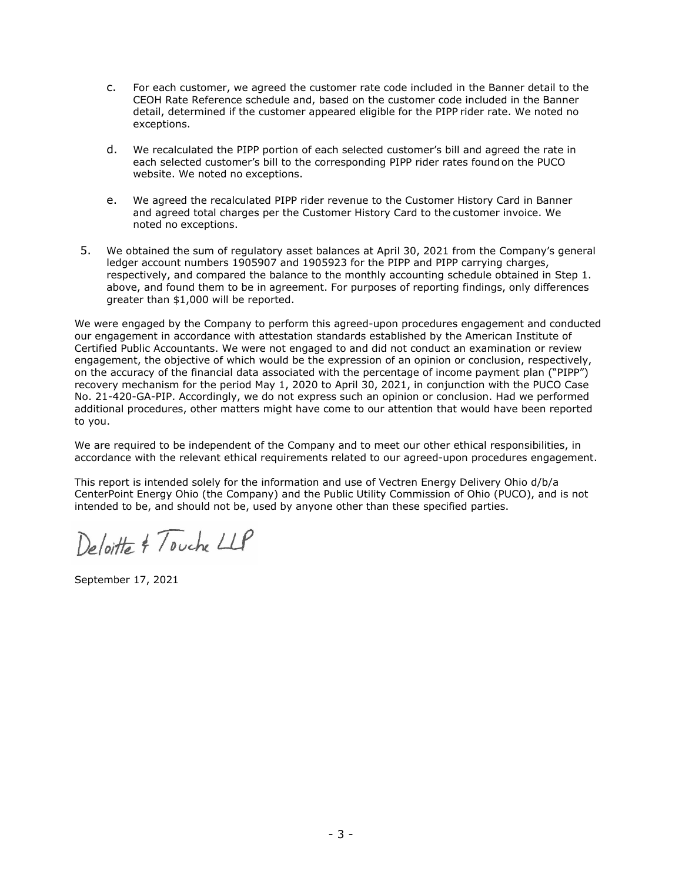- c. For each customer, we agreed the customer rate code included in the Banner detail to the CEOH Rate Reference schedule and, based on the customer code included in the Banner detail, determined if the customer appeared eligible for the PIPP rider rate. We noted no exceptions.
- d. We recalculated the PIPP portion of each selected customer's bill and agreed the rate in each selected customer's bill to the corresponding PIPP rider rates foundon the PUCO website. We noted no exceptions.
- e. We agreed the recalculated PIPP rider revenue to the Customer History Card in Banner and agreed total charges per the Customer History Card to the customer invoice. We noted no exceptions.
- 5. We obtained the sum of regulatory asset balances at April 30, 2021 from the Company's general ledger account numbers 1905907 and 1905923 for the PIPP and PIPP carrying charges, respectively, and compared the balance to the monthly accounting schedule obtained in Step 1. above, and found them to be in agreement. For purposes of reporting findings, only differences greater than \$1,000 will be reported.

We were engaged by the Company to perform this agreed-upon procedures engagement and conducted our engagement in accordance with attestation standards established by the American Institute of Certified Public Accountants. We were not engaged to and did not conduct an examination or review engagement, the objective of which would be the expression of an opinion or conclusion, respectively, on the accuracy of the financial data associated with the percentage of income payment plan ("PIPP") recovery mechanism for the period May 1, 2020 to April 30, 2021, in conjunction with the PUCO Case No. 21-420-GA-PIP. Accordingly, we do not express such an opinion or conclusion. Had we performed additional procedures, other matters might have come to our attention that would have been reported to you.

We are required to be independent of the Company and to meet our other ethical responsibilities, in accordance with the relevant ethical requirements related to our agreed-upon procedures engagement.

This report is intended solely for the information and use of Vectren Energy Delivery Ohio d/b/a CenterPoint Energy Ohio (the Company) and the Public Utility Commission of Ohio (PUCO), and is not intended to be, and should not be, used by anyone other than these specified parties.

Deloitte & Touche LLP

September 17, 2021